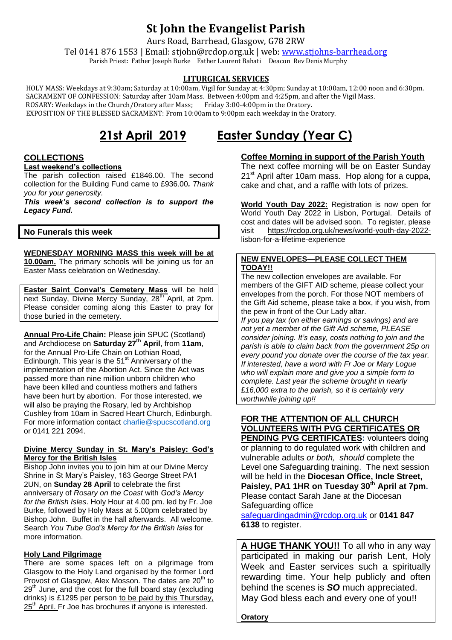# **St John the Evangelist Parish**

Aurs Road, Barrhead, Glasgow, G78 2RW

Tel 0141 876 1553 | Email: stjohn@rcdop.org.uk | web: [www.stjohns-barrhead.org](http://www.stjohns-barrhead.org/) Parish Priest: Father Joseph Burke Father Laurent Bahati Deacon Rev Denis Murphy

### **LITURGICAL SERVICES**

 HOLY MASS: Weekdays at 9:30am; Saturday at 10:00am, Vigil for Sunday at 4:30pm; Sunday at 10:00am, 12:00 noon and 6:30pm. SACRAMENT OF CONFESSION: Saturday after 10am Mass. Between 4:00pm and 4:25pm, and after the Vigil Mass.<br>ROSARY: Weekdays in the Church/Oratory after Mass; Friday 3:00-4:00pm in the Oratory. ROSARY: Weekdays in the Church/Oratory after Mass; EXPOSITION OF THE BLESSED SACRAMENT: From 10:00am to 9:00pm each weekday in the Oratory.

# **21st April 2019 Easter Sunday (Year C)**

#### **COLLECTIONS**

#### **Last weekend's collections**

The parish collection raised £1846.00. The second collection for the Building Fund came to £936.00*. Thank you for your generosity.*

*This week's second collection is to support the Legacy Fund.*

#### **No Funerals this week**

**WEDNESDAY MORNING MASS this week will be at 10.00am.** The primary schools will be joining us for an

Easter Mass celebration on Wednesday.

**Easter Saint Conval's Cemetery Mass** will be held next Sunday, Divine Mercy Sunday, 28<sup>th</sup> April, at 2pm. Please consider coming along this Easter to pray for those buried in the cemetery.

**Annual Pro-Life Chain:** Please join SPUC (Scotland) and Archdiocese on **Saturday 27th April**, from **11am**, for the Annual Pro-Life Chain on Lothian Road, Edinburgh. This year is the  $51<sup>st</sup>$  Anniversary of the implementation of the Abortion Act. Since the Act was passed more than nine million unborn children who have been killed and countless mothers and fathers have been hurt by abortion. For those interested, we will also be praying the Rosary, led by Archbishop Cushley from 10am in Sacred Heart Church, Edinburgh. For more information contact [charlie@spucscotland.org](mailto:charlie@spucscotland.org) or 0141 221 2094.

#### **Divine Mercy Sunday in St. Mary's Paisley: God's Mercy for the British Isles**

Bishop John invites you to join him at our Divine Mercy Shrine in St Mary's Paisley, 163 George Street PA1 2UN, on **Sunday 28 April** to celebrate the first anniversary of *Rosary on the Coast* with *God's Mercy for the British Isles*. Holy Hour at 4.00 pm. led by Fr. Joe Burke, followed by Holy Mass at 5.00pm celebrated by Bishop John. Buffet in the hall afterwards. All welcome. Search *You Tube God's Mercy for the British Isles* for more information.

#### **Holy Land Pilgrimage**

There are some spaces left on a pilgrimage from Glasgow to the Holy Land organised by the former Lord Provost of Glasgow, Alex Mosson. The dates are  $20<sup>th</sup>$  to  $29<sup>th</sup>$  June, and the cost for the full board stay (excluding drinks) is £1295 per person to be paid by this Thursday, 25<sup>th</sup> April. Fr Joe has brochures if anyone is interested.

### **Coffee Morning in support of the Parish Youth**

The next coffee morning will be on Easter Sunday 21<sup>st</sup> April after 10am mass. Hop along for a cuppa, cake and chat, and a raffle with lots of prizes.

**World Youth Day 2022:** Registration is now open for World Youth Day 2022 in Lisbon, Portugal. Details of cost and dates will be advised soon. To register, please visit [https://rcdop.org.uk/news/world-youth-day-2022](https://rcdop.org.uk/news/world-youth-day-2022-lisbon-for-a-lifetime-experience) [lisbon-for-a-lifetime-experience](https://rcdop.org.uk/news/world-youth-day-2022-lisbon-for-a-lifetime-experience)

#### **NEW ENVELOPES—PLEASE COLLECT THEM TODAY!!**

The new collection envelopes are available. For members of the GIFT AID scheme, please collect your envelopes from the porch. For those NOT members of the Gift Aid scheme, please take a box, if you wish, from the pew in front of the Our Lady altar.

*If you pay tax (on either earnings or savings) and are not yet a member of the Gift Aid scheme, PLEASE consider joining. It's easy, costs nothing to join and the parish is able to claim back from the government 25p on every pound you donate over the course of the tax year. If interested, have a word with Fr Joe or Mary Logue who will explain more and give you a simple form to complete. Last year the scheme brought in nearly*  £*16,000 extra to the parish, so it is certainly very worthwhile joining up!!*

## **FOR THE ATTENTION OF ALL CHURCH VOLUNTEERS WITH PVG CERTIFICATES OR**

**PENDING PVG CERTIFICATES: volunteers doing** or planning to do regulated work with children and vulnerable adults *or both, should* complete the Level one Safeguarding training. The next session will be held in the **Diocesan Office, Incle Street, Paisley, PA1 1HR on Tuesday 30th April at 7pm.** Please contact Sarah Jane at the Diocesan Safeguarding office

[safeguardingadmin@rcdop.org.uk](mailto:safeguardingadmin@rcdop.org.uk) or **0141 847 6138** to register.

**A HUGE THANK YOU!!** To all who in any way participated in making our parish Lent, Holy Week and Easter services such a spiritually rewarding time. Your help publicly and often behind the scenes is *SO* much appreciated. May God bless each and every one of you!!

**Oratory**